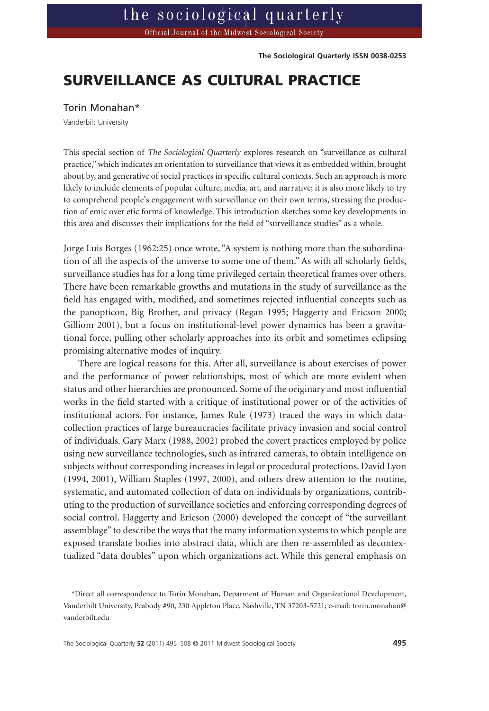Official Journal of the Midwest Sociological Society

**The Sociological Quarterly ISSN 0038-0253**

# **SURVEILLANCE AS CULTURAL PRACTICE**

Torin Monahan\*

Vanderbilt University

This special section of *The Sociological Quarterly* explores research on "surveillance as cultural practice," which indicates an orientation to surveillance that views it as embedded within, brought about by, and generative of social practices in specific cultural contexts. Such an approach is more likely to include elements of popular culture, media, art, and narrative; it is also more likely to try to comprehend people's engagement with surveillance on their own terms, stressing the production of emic over etic forms of knowledge. This introduction sketches some key developments in this area and discusses their implications for the field of "surveillance studies" as a whole.

Jorge Luis Borges (1962:25) once wrote, "A system is nothing more than the subordination of all the aspects of the universe to some one of them." As with all scholarly fields, surveillance studies has for a long time privileged certain theoretical frames over others. There have been remarkable growths and mutations in the study of surveillance as the field has engaged with, modified, and sometimes rejected influential concepts such as the panopticon, Big Brother, and privacy (Regan 1995; Haggerty and Ericson 2000; Gilliom 2001), but a focus on institutional-level power dynamics has been a gravitational force, pulling other scholarly approaches into its orbit and sometimes eclipsing promising alternative modes of inquiry.

There are logical reasons for this. After all, surveillance is about exercises of power and the performance of power relationships, most of which are more evident when status and other hierarchies are pronounced. Some of the originary and most influential works in the field started with a critique of institutional power or of the activities of institutional actors. For instance, James Rule (1973) traced the ways in which datacollection practices of large bureaucracies facilitate privacy invasion and social control of individuals. Gary Marx (1988, 2002) probed the covert practices employed by police using new surveillance technologies, such as infrared cameras, to obtain intelligence on subjects without corresponding increases in legal or procedural protections. David Lyon (1994, 2001), William Staples (1997, 2000), and others drew attention to the routine, systematic, and automated collection of data on individuals by organizations, contributing to the production of surveillance societies and enforcing corresponding degrees of social control. Haggerty and Ericson (2000) developed the concept of "the surveillant assemblage" to describe the ways that the many information systems to which people are exposed translate bodies into abstract data, which are then re-assembled as decontextualized "data doubles" upon which organizations act. While this general emphasis on

\*Direct all correspondence to Torin Monahan, Deparment of Human and Organizational Development, Vanderbilt University, Peabody #90, 230 Appleton Place, Nashville, TN 37203-5721; e-mail: torin.monahan@ vanderbilt.edu

The Sociological Quarterly **52** (2011) 495–508 © 2011 Midwest Sociological Society **495**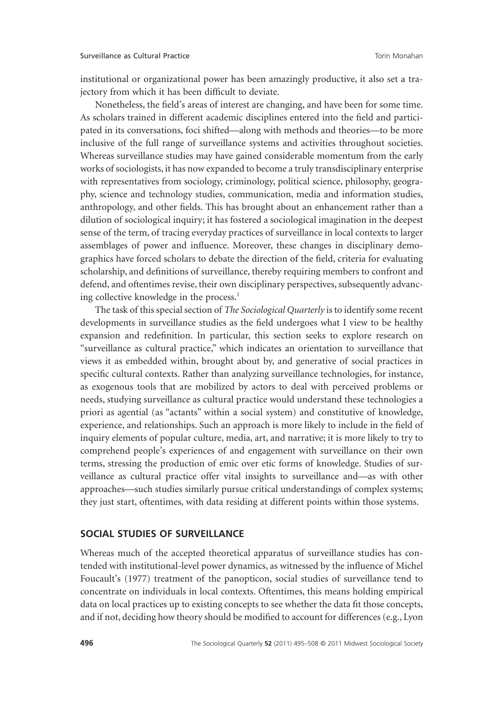institutional or organizational power has been amazingly productive, it also set a trajectory from which it has been difficult to deviate.

Nonetheless, the field's areas of interest are changing, and have been for some time. As scholars trained in different academic disciplines entered into the field and participated in its conversations, foci shifted—along with methods and theories—to be more inclusive of the full range of surveillance systems and activities throughout societies. Whereas surveillance studies may have gained considerable momentum from the early works of sociologists, it has now expanded to become a truly transdisciplinary enterprise with representatives from sociology, criminology, political science, philosophy, geography, science and technology studies, communication, media and information studies, anthropology, and other fields. This has brought about an enhancement rather than a dilution of sociological inquiry; it has fostered a sociological imagination in the deepest sense of the term, of tracing everyday practices of surveillance in local contexts to larger assemblages of power and influence. Moreover, these changes in disciplinary demographics have forced scholars to debate the direction of the field, criteria for evaluating scholarship, and definitions of surveillance, thereby requiring members to confront and defend, and oftentimes revise, their own disciplinary perspectives, subsequently advancing collective knowledge in the process.<sup>1</sup>

The task of this special section of *The Sociological Quarterly* is to identify some recent developments in surveillance studies as the field undergoes what I view to be healthy expansion and redefinition. In particular, this section seeks to explore research on "surveillance as cultural practice," which indicates an orientation to surveillance that views it as embedded within, brought about by, and generative of social practices in specific cultural contexts. Rather than analyzing surveillance technologies, for instance, as exogenous tools that are mobilized by actors to deal with perceived problems or needs, studying surveillance as cultural practice would understand these technologies a priori as agential (as "actants" within a social system) and constitutive of knowledge, experience, and relationships. Such an approach is more likely to include in the field of inquiry elements of popular culture, media, art, and narrative; it is more likely to try to comprehend people's experiences of and engagement with surveillance on their own terms, stressing the production of emic over etic forms of knowledge. Studies of surveillance as cultural practice offer vital insights to surveillance and—as with other approaches—such studies similarly pursue critical understandings of complex systems; they just start, oftentimes, with data residing at different points within those systems.

## **SOCIAL STUDIES OF SURVEILLANCE**

Whereas much of the accepted theoretical apparatus of surveillance studies has contended with institutional-level power dynamics, as witnessed by the influence of Michel Foucault's (1977) treatment of the panopticon, social studies of surveillance tend to concentrate on individuals in local contexts. Oftentimes, this means holding empirical data on local practices up to existing concepts to see whether the data fit those concepts, and if not, deciding how theory should be modified to account for differences (e.g., Lyon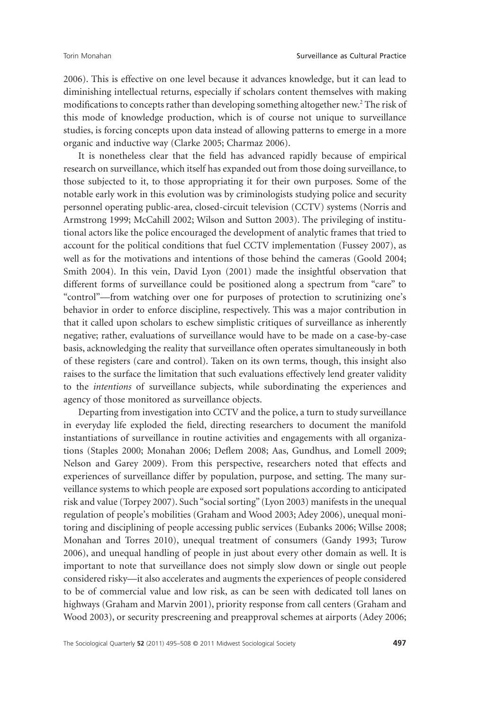2006). This is effective on one level because it advances knowledge, but it can lead to diminishing intellectual returns, especially if scholars content themselves with making modifications to concepts rather than developing something altogether new.<sup>2</sup> The risk of this mode of knowledge production, which is of course not unique to surveillance studies, is forcing concepts upon data instead of allowing patterns to emerge in a more organic and inductive way (Clarke 2005; Charmaz 2006).

It is nonetheless clear that the field has advanced rapidly because of empirical research on surveillance, which itself has expanded out from those doing surveillance, to those subjected to it, to those appropriating it for their own purposes. Some of the notable early work in this evolution was by criminologists studying police and security personnel operating public-area, closed-circuit television (CCTV) systems (Norris and Armstrong 1999; McCahill 2002; Wilson and Sutton 2003). The privileging of institutional actors like the police encouraged the development of analytic frames that tried to account for the political conditions that fuel CCTV implementation (Fussey 2007), as well as for the motivations and intentions of those behind the cameras (Goold 2004; Smith 2004). In this vein, David Lyon (2001) made the insightful observation that different forms of surveillance could be positioned along a spectrum from "care" to "control"—from watching over one for purposes of protection to scrutinizing one's behavior in order to enforce discipline, respectively. This was a major contribution in that it called upon scholars to eschew simplistic critiques of surveillance as inherently negative; rather, evaluations of surveillance would have to be made on a case-by-case basis, acknowledging the reality that surveillance often operates simultaneously in both of these registers (care and control). Taken on its own terms, though, this insight also raises to the surface the limitation that such evaluations effectively lend greater validity to the *intentions* of surveillance subjects, while subordinating the experiences and agency of those monitored as surveillance objects.

Departing from investigation into CCTV and the police, a turn to study surveillance in everyday life exploded the field, directing researchers to document the manifold instantiations of surveillance in routine activities and engagements with all organizations (Staples 2000; Monahan 2006; Deflem 2008; Aas, Gundhus, and Lomell 2009; Nelson and Garey 2009). From this perspective, researchers noted that effects and experiences of surveillance differ by population, purpose, and setting. The many surveillance systems to which people are exposed sort populations according to anticipated risk and value (Torpey 2007). Such "social sorting" (Lyon 2003) manifests in the unequal regulation of people's mobilities (Graham and Wood 2003; Adey 2006), unequal monitoring and disciplining of people accessing public services (Eubanks 2006; Willse 2008; Monahan and Torres 2010), unequal treatment of consumers (Gandy 1993; Turow 2006), and unequal handling of people in just about every other domain as well. It is important to note that surveillance does not simply slow down or single out people considered risky—it also accelerates and augments the experiences of people considered to be of commercial value and low risk, as can be seen with dedicated toll lanes on highways (Graham and Marvin 2001), priority response from call centers (Graham and Wood 2003), or security prescreening and preapproval schemes at airports (Adey 2006;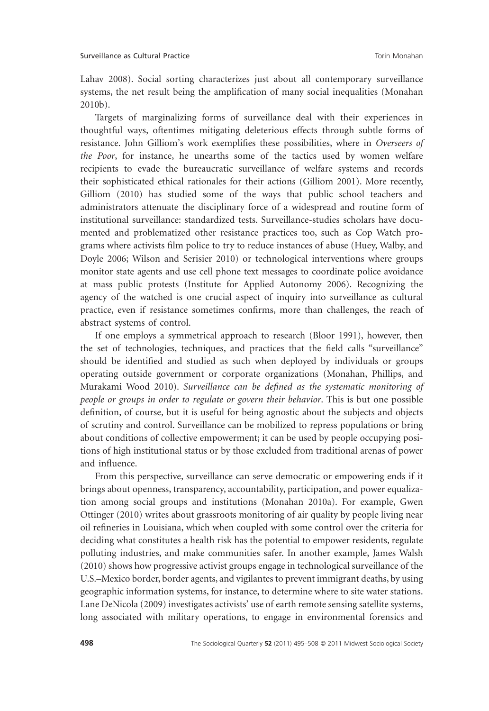Lahav 2008). Social sorting characterizes just about all contemporary surveillance systems, the net result being the amplification of many social inequalities (Monahan 2010b).

Targets of marginalizing forms of surveillance deal with their experiences in thoughtful ways, oftentimes mitigating deleterious effects through subtle forms of resistance. John Gilliom's work exemplifies these possibilities, where in *Overseers of the Poor*, for instance, he unearths some of the tactics used by women welfare recipients to evade the bureaucratic surveillance of welfare systems and records their sophisticated ethical rationales for their actions (Gilliom 2001). More recently, Gilliom (2010) has studied some of the ways that public school teachers and administrators attenuate the disciplinary force of a widespread and routine form of institutional surveillance: standardized tests. Surveillance-studies scholars have documented and problematized other resistance practices too, such as Cop Watch programs where activists film police to try to reduce instances of abuse (Huey, Walby, and Doyle 2006; Wilson and Serisier 2010) or technological interventions where groups monitor state agents and use cell phone text messages to coordinate police avoidance at mass public protests (Institute for Applied Autonomy 2006). Recognizing the agency of the watched is one crucial aspect of inquiry into surveillance as cultural practice, even if resistance sometimes confirms, more than challenges, the reach of abstract systems of control.

If one employs a symmetrical approach to research (Bloor 1991), however, then the set of technologies, techniques, and practices that the field calls "surveillance" should be identified and studied as such when deployed by individuals or groups operating outside government or corporate organizations (Monahan, Phillips, and Murakami Wood 2010). *Surveillance can be defined as the systematic monitoring of people or groups in order to regulate or govern their behavior*. This is but one possible definition, of course, but it is useful for being agnostic about the subjects and objects of scrutiny and control. Surveillance can be mobilized to repress populations or bring about conditions of collective empowerment; it can be used by people occupying positions of high institutional status or by those excluded from traditional arenas of power and influence.

From this perspective, surveillance can serve democratic or empowering ends if it brings about openness, transparency, accountability, participation, and power equalization among social groups and institutions (Monahan 2010a). For example, Gwen Ottinger (2010) writes about grassroots monitoring of air quality by people living near oil refineries in Louisiana, which when coupled with some control over the criteria for deciding what constitutes a health risk has the potential to empower residents, regulate polluting industries, and make communities safer. In another example, James Walsh (2010) shows how progressive activist groups engage in technological surveillance of the U.S.–Mexico border, border agents, and vigilantes to prevent immigrant deaths, by using geographic information systems, for instance, to determine where to site water stations. Lane DeNicola (2009) investigates activists' use of earth remote sensing satellite systems, long associated with military operations, to engage in environmental forensics and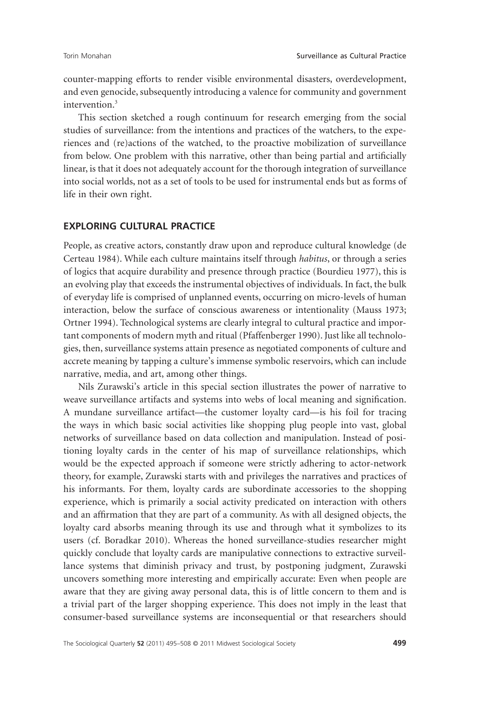counter-mapping efforts to render visible environmental disasters, overdevelopment, and even genocide, subsequently introducing a valence for community and government intervention.<sup>3</sup>

This section sketched a rough continuum for research emerging from the social studies of surveillance: from the intentions and practices of the watchers, to the experiences and (re)actions of the watched, to the proactive mobilization of surveillance from below. One problem with this narrative, other than being partial and artificially linear, is that it does not adequately account for the thorough integration of surveillance into social worlds, not as a set of tools to be used for instrumental ends but as forms of life in their own right.

### **EXPLORING CULTURAL PRACTICE**

People, as creative actors, constantly draw upon and reproduce cultural knowledge (de Certeau 1984). While each culture maintains itself through *habitus*, or through a series of logics that acquire durability and presence through practice (Bourdieu 1977), this is an evolving play that exceeds the instrumental objectives of individuals. In fact, the bulk of everyday life is comprised of unplanned events, occurring on micro-levels of human interaction, below the surface of conscious awareness or intentionality (Mauss 1973; Ortner 1994). Technological systems are clearly integral to cultural practice and important components of modern myth and ritual (Pfaffenberger 1990). Just like all technologies, then, surveillance systems attain presence as negotiated components of culture and accrete meaning by tapping a culture's immense symbolic reservoirs, which can include narrative, media, and art, among other things.

Nils Zurawski's article in this special section illustrates the power of narrative to weave surveillance artifacts and systems into webs of local meaning and signification. A mundane surveillance artifact—the customer loyalty card—is his foil for tracing the ways in which basic social activities like shopping plug people into vast, global networks of surveillance based on data collection and manipulation. Instead of positioning loyalty cards in the center of his map of surveillance relationships, which would be the expected approach if someone were strictly adhering to actor-network theory, for example, Zurawski starts with and privileges the narratives and practices of his informants. For them, loyalty cards are subordinate accessories to the shopping experience, which is primarily a social activity predicated on interaction with others and an affirmation that they are part of a community. As with all designed objects, the loyalty card absorbs meaning through its use and through what it symbolizes to its users (cf. Boradkar 2010). Whereas the honed surveillance-studies researcher might quickly conclude that loyalty cards are manipulative connections to extractive surveillance systems that diminish privacy and trust, by postponing judgment, Zurawski uncovers something more interesting and empirically accurate: Even when people are aware that they are giving away personal data, this is of little concern to them and is a trivial part of the larger shopping experience. This does not imply in the least that consumer-based surveillance systems are inconsequential or that researchers should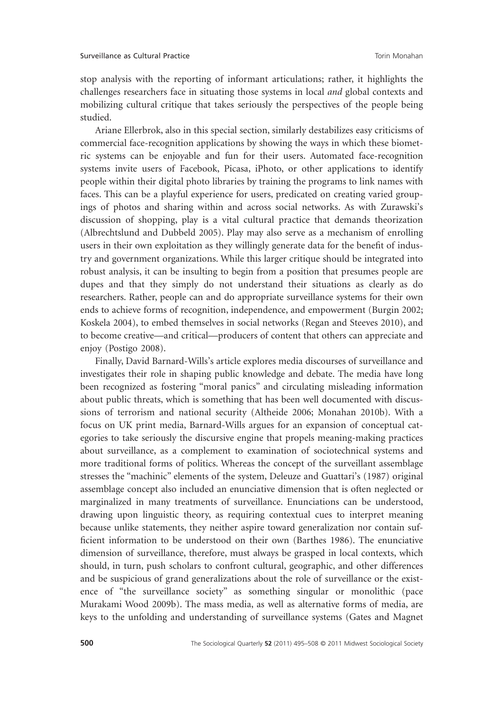stop analysis with the reporting of informant articulations; rather, it highlights the challenges researchers face in situating those systems in local *and* global contexts and mobilizing cultural critique that takes seriously the perspectives of the people being studied.

Ariane Ellerbrok, also in this special section, similarly destabilizes easy criticisms of commercial face-recognition applications by showing the ways in which these biometric systems can be enjoyable and fun for their users. Automated face-recognition systems invite users of Facebook, Picasa, iPhoto, or other applications to identify people within their digital photo libraries by training the programs to link names with faces. This can be a playful experience for users, predicated on creating varied groupings of photos and sharing within and across social networks. As with Zurawski's discussion of shopping, play is a vital cultural practice that demands theorization (Albrechtslund and Dubbeld 2005). Play may also serve as a mechanism of enrolling users in their own exploitation as they willingly generate data for the benefit of industry and government organizations. While this larger critique should be integrated into robust analysis, it can be insulting to begin from a position that presumes people are dupes and that they simply do not understand their situations as clearly as do researchers. Rather, people can and do appropriate surveillance systems for their own ends to achieve forms of recognition, independence, and empowerment (Burgin 2002; Koskela 2004), to embed themselves in social networks (Regan and Steeves 2010), and to become creative—and critical—producers of content that others can appreciate and enjoy (Postigo 2008).

Finally, David Barnard-Wills's article explores media discourses of surveillance and investigates their role in shaping public knowledge and debate. The media have long been recognized as fostering "moral panics" and circulating misleading information about public threats, which is something that has been well documented with discussions of terrorism and national security (Altheide 2006; Monahan 2010b). With a focus on UK print media, Barnard-Wills argues for an expansion of conceptual categories to take seriously the discursive engine that propels meaning-making practices about surveillance, as a complement to examination of sociotechnical systems and more traditional forms of politics. Whereas the concept of the surveillant assemblage stresses the "machinic" elements of the system, Deleuze and Guattari's (1987) original assemblage concept also included an enunciative dimension that is often neglected or marginalized in many treatments of surveillance. Enunciations can be understood, drawing upon linguistic theory, as requiring contextual cues to interpret meaning because unlike statements, they neither aspire toward generalization nor contain sufficient information to be understood on their own (Barthes 1986). The enunciative dimension of surveillance, therefore, must always be grasped in local contexts, which should, in turn, push scholars to confront cultural, geographic, and other differences and be suspicious of grand generalizations about the role of surveillance or the existence of "the surveillance society" as something singular or monolithic (pace Murakami Wood 2009b). The mass media, as well as alternative forms of media, are keys to the unfolding and understanding of surveillance systems (Gates and Magnet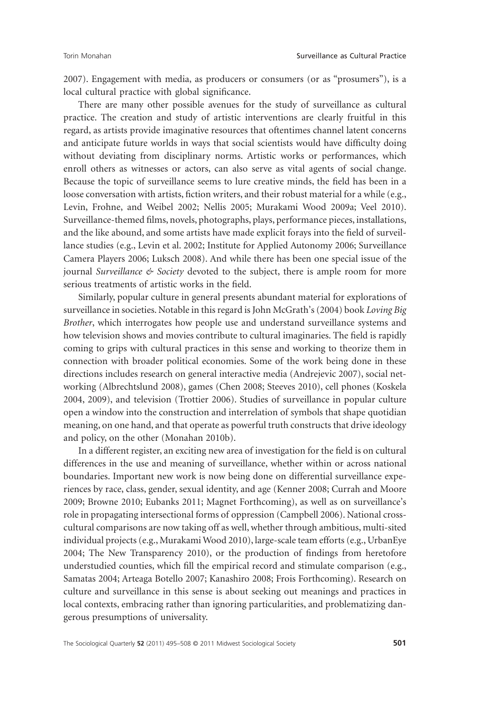2007). Engagement with media, as producers or consumers (or as "prosumers"), is a local cultural practice with global significance.

There are many other possible avenues for the study of surveillance as cultural practice. The creation and study of artistic interventions are clearly fruitful in this regard, as artists provide imaginative resources that oftentimes channel latent concerns and anticipate future worlds in ways that social scientists would have difficulty doing without deviating from disciplinary norms. Artistic works or performances, which enroll others as witnesses or actors, can also serve as vital agents of social change. Because the topic of surveillance seems to lure creative minds, the field has been in a loose conversation with artists, fiction writers, and their robust material for a while (e.g., Levin, Frohne, and Weibel 2002; Nellis 2005; Murakami Wood 2009a; Veel 2010). Surveillance-themed films, novels, photographs, plays, performance pieces, installations, and the like abound, and some artists have made explicit forays into the field of surveillance studies (e.g., Levin et al. 2002; Institute for Applied Autonomy 2006; Surveillance Camera Players 2006; Luksch 2008). And while there has been one special issue of the journal *Surveillance & Society* devoted to the subject, there is ample room for more serious treatments of artistic works in the field.

Similarly, popular culture in general presents abundant material for explorations of surveillance in societies. Notable in this regard is John McGrath's (2004) book *Loving Big Brother*, which interrogates how people use and understand surveillance systems and how television shows and movies contribute to cultural imaginaries. The field is rapidly coming to grips with cultural practices in this sense and working to theorize them in connection with broader political economies. Some of the work being done in these directions includes research on general interactive media (Andrejevic 2007), social networking (Albrechtslund 2008), games (Chen 2008; Steeves 2010), cell phones (Koskela 2004, 2009), and television (Trottier 2006). Studies of surveillance in popular culture open a window into the construction and interrelation of symbols that shape quotidian meaning, on one hand, and that operate as powerful truth constructs that drive ideology and policy, on the other (Monahan 2010b).

In a different register, an exciting new area of investigation for the field is on cultural differences in the use and meaning of surveillance, whether within or across national boundaries. Important new work is now being done on differential surveillance experiences by race, class, gender, sexual identity, and age (Kenner 2008; Currah and Moore 2009; Browne 2010; Eubanks 2011; Magnet Forthcoming), as well as on surveillance's role in propagating intersectional forms of oppression (Campbell 2006). National crosscultural comparisons are now taking off as well, whether through ambitious, multi-sited individual projects (e.g., Murakami Wood 2010), large-scale team efforts (e.g., UrbanEye 2004; The New Transparency 2010), or the production of findings from heretofore understudied counties, which fill the empirical record and stimulate comparison (e.g., Samatas 2004; Arteaga Botello 2007; Kanashiro 2008; Frois Forthcoming). Research on culture and surveillance in this sense is about seeking out meanings and practices in local contexts, embracing rather than ignoring particularities, and problematizing dangerous presumptions of universality.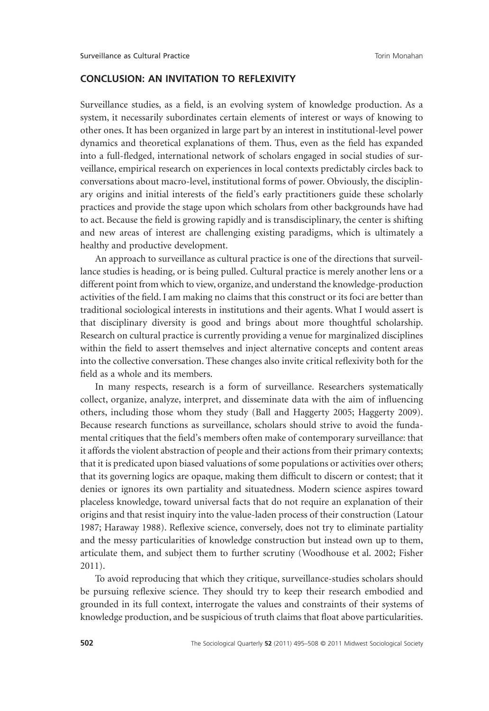# **CONCLUSION: AN INVITATION TO REFLEXIVITY**

Surveillance studies, as a field, is an evolving system of knowledge production. As a system, it necessarily subordinates certain elements of interest or ways of knowing to other ones. It has been organized in large part by an interest in institutional-level power dynamics and theoretical explanations of them. Thus, even as the field has expanded into a full-fledged, international network of scholars engaged in social studies of surveillance, empirical research on experiences in local contexts predictably circles back to conversations about macro-level, institutional forms of power. Obviously, the disciplinary origins and initial interests of the field's early practitioners guide these scholarly practices and provide the stage upon which scholars from other backgrounds have had to act. Because the field is growing rapidly and is transdisciplinary, the center is shifting and new areas of interest are challenging existing paradigms, which is ultimately a healthy and productive development.

An approach to surveillance as cultural practice is one of the directions that surveillance studies is heading, or is being pulled. Cultural practice is merely another lens or a different point from which to view, organize, and understand the knowledge-production activities of the field. I am making no claims that this construct or its foci are better than traditional sociological interests in institutions and their agents. What I would assert is that disciplinary diversity is good and brings about more thoughtful scholarship. Research on cultural practice is currently providing a venue for marginalized disciplines within the field to assert themselves and inject alternative concepts and content areas into the collective conversation. These changes also invite critical reflexivity both for the field as a whole and its members.

In many respects, research is a form of surveillance. Researchers systematically collect, organize, analyze, interpret, and disseminate data with the aim of influencing others, including those whom they study (Ball and Haggerty 2005; Haggerty 2009). Because research functions as surveillance, scholars should strive to avoid the fundamental critiques that the field's members often make of contemporary surveillance: that it affords the violent abstraction of people and their actions from their primary contexts; that it is predicated upon biased valuations of some populations or activities over others; that its governing logics are opaque, making them difficult to discern or contest; that it denies or ignores its own partiality and situatedness. Modern science aspires toward placeless knowledge, toward universal facts that do not require an explanation of their origins and that resist inquiry into the value-laden process of their construction (Latour 1987; Haraway 1988). Reflexive science, conversely, does not try to eliminate partiality and the messy particularities of knowledge construction but instead own up to them, articulate them, and subject them to further scrutiny (Woodhouse et al. 2002; Fisher 2011).

To avoid reproducing that which they critique, surveillance-studies scholars should be pursuing reflexive science. They should try to keep their research embodied and grounded in its full context, interrogate the values and constraints of their systems of knowledge production, and be suspicious of truth claims that float above particularities.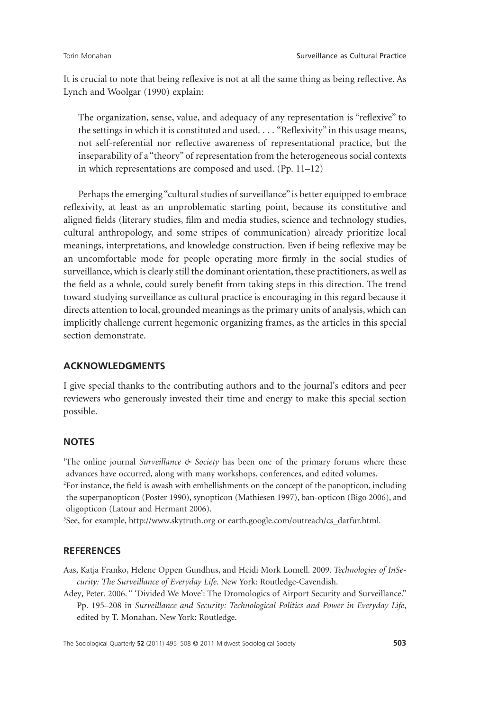It is crucial to note that being reflexive is not at all the same thing as being reflective. As Lynch and Woolgar (1990) explain:

The organization, sense, value, and adequacy of any representation is "reflexive" to the settings in which it is constituted and used. . . . "Reflexivity" in this usage means, not self-referential nor reflective awareness of representational practice, but the inseparability of a "theory" of representation from the heterogeneous social contexts in which representations are composed and used. (Pp. 11–12)

Perhaps the emerging "cultural studies of surveillance" is better equipped to embrace reflexivity, at least as an unproblematic starting point, because its constitutive and aligned fields (literary studies, film and media studies, science and technology studies, cultural anthropology, and some stripes of communication) already prioritize local meanings, interpretations, and knowledge construction. Even if being reflexive may be an uncomfortable mode for people operating more firmly in the social studies of surveillance, which is clearly still the dominant orientation, these practitioners, as well as the field as a whole, could surely benefit from taking steps in this direction. The trend toward studying surveillance as cultural practice is encouraging in this regard because it directs attention to local, grounded meanings as the primary units of analysis, which can implicitly challenge current hegemonic organizing frames, as the articles in this special section demonstrate.

# **ACKNOWLEDGMENTS**

I give special thanks to the contributing authors and to the journal's editors and peer reviewers who generously invested their time and energy to make this special section possible.

## **NOTES**

<sup>1</sup>The online journal *Surveillance* & *Society* has been one of the primary forums where these advances have occurred, along with many workshops, conferences, and edited volumes. <sup>2</sup>For instance, the field is awash with embellishments on the concept of the panopticon, including the superpanopticon (Poster 1990), synopticon (Mathiesen 1997), ban-opticon (Bigo 2006), and

oligopticon (Latour and Hermant 2006).

3 See, for example, http://www.skytruth.org or earth.google.com/outreach/cs\_darfur.html.

#### **REFERENCES**

Aas, Katja Franko, Helene Oppen Gundhus, and Heidi Mork Lomell. 2009. *Technologies of InSecurity: The Surveillance of Everyday Life*. New York: Routledge-Cavendish.

Adey, Peter. 2006. " 'Divided We Move': The Dromologics of Airport Security and Surveillance." Pp. 195–208 in *Surveillance and Security: Technological Politics and Power in Everyday Life*, edited by T. Monahan. New York: Routledge.

The Sociological Quarterly **52** (2011) 495–508 © 2011 Midwest Sociological Society **503**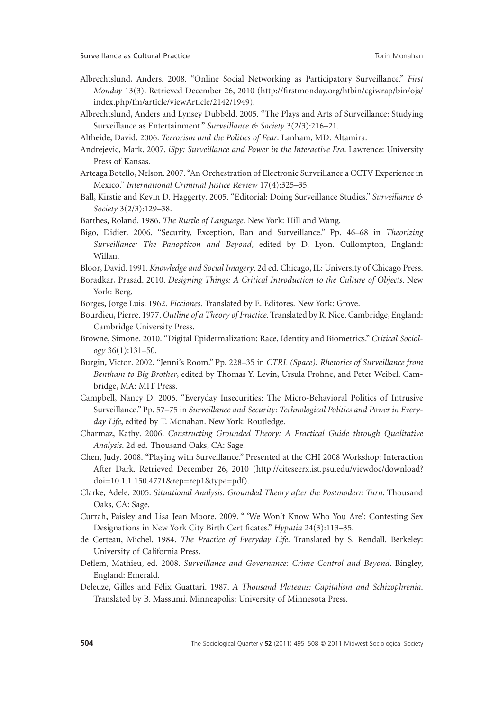- Albrechtslund, Anders. 2008. "Online Social Networking as Participatory Surveillance." *First Monday* 13(3). Retrieved December 26, 2010 (http://firstmonday.org/htbin/cgiwrap/bin/ojs/ index.php/fm/article/viewArticle/2142/1949).
- Albrechtslund, Anders and Lynsey Dubbeld. 2005. "The Plays and Arts of Surveillance: Studying Surveillance as Entertainment." *Surveillance & Society* 3(2/3):216–21.

Altheide, David. 2006. *Terrorism and the Politics of Fear*. Lanham, MD: Altamira.

- Andrejevic, Mark. 2007. *iSpy: Surveillance and Power in the Interactive Era*. Lawrence: University Press of Kansas.
- Arteaga Botello, Nelson. 2007. "An Orchestration of Electronic Surveillance a CCTV Experience in Mexico." *International Criminal Justice Review* 17(4):325–35.
- Ball, Kirstie and Kevin D. Haggerty. 2005. "Editorial: Doing Surveillance Studies." *Surveillance & Society* 3(2/3):129–38.
- Barthes, Roland. 1986. *The Rustle of Language*. New York: Hill and Wang.
- Bigo, Didier. 2006. "Security, Exception, Ban and Surveillance." Pp. 46–68 in *Theorizing Surveillance: The Panopticon and Beyond*, edited by D. Lyon. Cullompton, England: Willan.
- Bloor, David. 1991. *Knowledge and Social Imagery*. 2d ed. Chicago, IL: University of Chicago Press.
- Boradkar, Prasad. 2010. *Designing Things: A Critical Introduction to the Culture of Objects*. New York: Berg.

Borges, Jorge Luis. 1962. *Ficciones*. Translated by E. Editores. New York: Grove.

- Bourdieu, Pierre. 1977. *Outline of a Theory of Practice*. Translated by R. Nice. Cambridge, England: Cambridge University Press.
- Browne, Simone. 2010. "Digital Epidermalization: Race, Identity and Biometrics." *Critical Sociology* 36(1):131–50.
- Burgin, Victor. 2002. "Jenni's Room." Pp. 228–35 in *CTRL (Space): Rhetorics of Surveillance from Bentham to Big Brother*, edited by Thomas Y. Levin, Ursula Frohne, and Peter Weibel. Cambridge, MA: MIT Press.
- Campbell, Nancy D. 2006. "Everyday Insecurities: The Micro-Behavioral Politics of Intrusive Surveillance." Pp. 57–75 in *Surveillance and Security: Technological Politics and Power in Everyday Life*, edited by T. Monahan. New York: Routledge.
- Charmaz, Kathy. 2006. *Constructing Grounded Theory: A Practical Guide through Qualitative Analysis*. 2d ed. Thousand Oaks, CA: Sage.
- Chen, Judy. 2008. "Playing with Surveillance." Presented at the CHI 2008 Workshop: Interaction After Dark. Retrieved December 26, 2010 (http://citeseerx.ist.psu.edu/viewdoc/download? doi=10.1.1.150.4771&rep=rep1&type=pdf).
- Clarke, Adele. 2005. *Situational Analysis: Grounded Theory after the Postmodern Turn*. Thousand Oaks, CA: Sage.
- Currah, Paisley and Lisa Jean Moore. 2009. " 'We Won't Know Who You Are': Contesting Sex Designations in New York City Birth Certificates." *Hypatia* 24(3):113–35.
- de Certeau, Michel. 1984. *The Practice of Everyday Life*. Translated by S. Rendall. Berkeley: University of California Press.
- Deflem, Mathieu, ed. 2008. *Surveillance and Governance: Crime Control and Beyond*. Bingley, England: Emerald.
- Deleuze, Gilles and Félix Guattari. 1987. *A Thousand Plateaus: Capitalism and Schizophrenia*. Translated by B. Massumi. Minneapolis: University of Minnesota Press.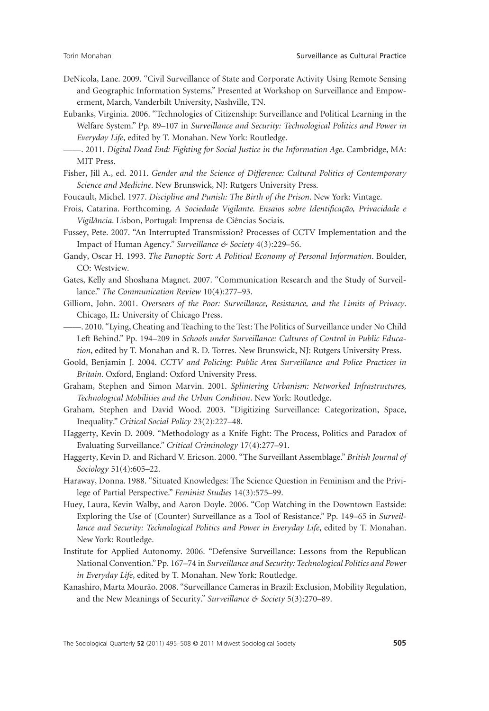- DeNicola, Lane. 2009. "Civil Surveillance of State and Corporate Activity Using Remote Sensing and Geographic Information Systems." Presented at Workshop on Surveillance and Empowerment, March, Vanderbilt University, Nashville, TN.
- Eubanks, Virginia. 2006. "Technologies of Citizenship: Surveillance and Political Learning in the Welfare System." Pp. 89–107 in *Surveillance and Security: Technological Politics and Power in Everyday Life*, edited by T. Monahan. New York: Routledge.
- ——. 2011. *Digital Dead End: Fighting for Social Justice in the Information Age*. Cambridge, MA: MIT Press.
- Fisher, Jill A., ed. 2011. *Gender and the Science of Difference: Cultural Politics of Contemporary Science and Medicine*. New Brunswick, NJ: Rutgers University Press.
- Foucault, Michel. 1977. *Discipline and Punish: The Birth of the Prison*. New York: Vintage.
- Frois, Catarina. Forthcoming. *A Sociedade Vigilante. Ensaios sobre Identificação, Privacidade e Vigilância*. Lisbon, Portugal: Imprensa de Ciências Sociais.
- Fussey, Pete. 2007. "An Interrupted Transmission? Processes of CCTV Implementation and the Impact of Human Agency." *Surveillance & Society* 4(3):229–56.

Gandy, Oscar H. 1993. *The Panoptic Sort: A Political Economy of Personal Information*. Boulder, CO: Westview.

- Gates, Kelly and Shoshana Magnet. 2007. "Communication Research and the Study of Surveillance." *The Communication Review* 10(4):277–93.
- Gilliom, John. 2001. *Overseers of the Poor: Surveillance, Resistance, and the Limits of Privacy*. Chicago, IL: University of Chicago Press.
- ——. 2010. "Lying, Cheating and Teaching to the Test: The Politics of Surveillance under No Child Left Behind." Pp. 194–209 in *Schools under Surveillance: Cultures of Control in Public Education*, edited by T. Monahan and R. D. Torres. New Brunswick, NJ: Rutgers University Press.
- Goold, Benjamin J. 2004. *CCTV and Policing: Public Area Surveillance and Police Practices in Britain*. Oxford, England: Oxford University Press.
- Graham, Stephen and Simon Marvin. 2001. *Splintering Urbanism: Networked Infrastructures, Technological Mobilities and the Urban Condition*. New York: Routledge.
- Graham, Stephen and David Wood. 2003. "Digitizing Surveillance: Categorization, Space, Inequality." *Critical Social Policy* 23(2):227–48.
- Haggerty, Kevin D. 2009. "Methodology as a Knife Fight: The Process, Politics and Paradox of Evaluating Surveillance." *Critical Criminology* 17(4):277–91.
- Haggerty, Kevin D. and Richard V. Ericson. 2000. "The Surveillant Assemblage." *British Journal of Sociology* 51(4):605–22.
- Haraway, Donna. 1988. "Situated Knowledges: The Science Question in Feminism and the Privilege of Partial Perspective." *Feminist Studies* 14(3):575–99.
- Huey, Laura, Kevin Walby, and Aaron Doyle. 2006. "Cop Watching in the Downtown Eastside: Exploring the Use of (Counter) Surveillance as a Tool of Resistance." Pp. 149–65 in *Surveil*lance and Security: Technological Politics and Power in Everyday Life, edited by T. Monahan. New York: Routledge.
- Institute for Applied Autonomy. 2006. "Defensive Surveillance: Lessons from the Republican National Convention." Pp. 167–74 in *Surveillance and Security: Technological Politics and Power in Everyday Life*, edited by T. Monahan. New York: Routledge.
- Kanashiro, Marta Mourão. 2008. "Surveillance Cameras in Brazil: Exclusion, Mobility Regulation, and the New Meanings of Security." *Surveillance & Society* 5(3):270–89.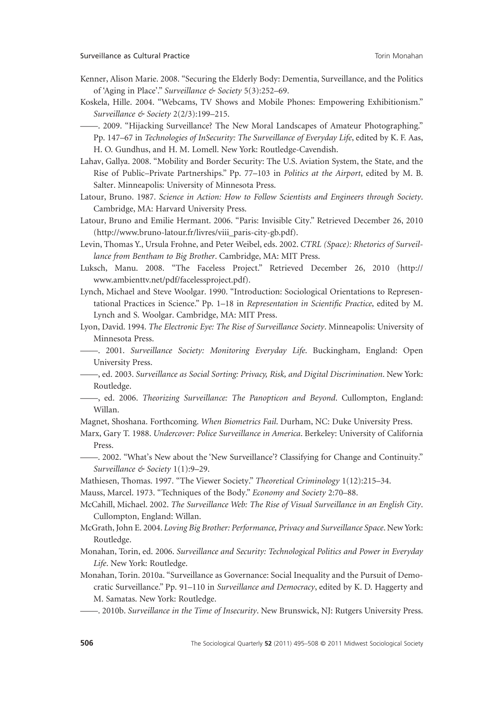- Kenner, Alison Marie. 2008. "Securing the Elderly Body: Dementia, Surveillance, and the Politics of 'Aging in Place'." *Surveillance & Society* 5(3):252–69.
- Koskela, Hille. 2004. "Webcams, TV Shows and Mobile Phones: Empowering Exhibitionism." *Surveillance & Society* 2(2/3):199–215.
- ——. 2009. "Hijacking Surveillance? The New Moral Landscapes of Amateur Photographing." Pp. 147–67 in *Technologies of InSecurity: The Surveillance of Everyday Life*, edited by K. F. Aas, H. O. Gundhus, and H. M. Lomell. New York: Routledge-Cavendish.
- Lahav, Gallya. 2008. "Mobility and Border Security: The U.S. Aviation System, the State, and the Rise of Public–Private Partnerships." Pp. 77–103 in *Politics at the Airport*, edited by M. B. Salter. Minneapolis: University of Minnesota Press.
- Latour, Bruno. 1987. *Science in Action: How to Follow Scientists and Engineers through Society*. Cambridge, MA: Harvard University Press.
- Latour, Bruno and Emilie Hermant. 2006. "Paris: Invisible City." Retrieved December 26, 2010 (http://www.bruno-latour.fr/livres/viii\_paris-city-gb.pdf).
- Levin, Thomas Y., Ursula Frohne, and Peter Weibel, eds. 2002. *CTRL (Space): Rhetorics of Surveillance from Bentham to Big Brother*. Cambridge, MA: MIT Press.
- Luksch, Manu. 2008. "The Faceless Project." Retrieved December 26, 2010 (http:// www.ambienttv.net/pdf/facelessproject.pdf).
- Lynch, Michael and Steve Woolgar. 1990. "Introduction: Sociological Orientations to Representational Practices in Science." Pp. 1–18 in *Representation in Scientific Practice*, edited by M. Lynch and S. Woolgar. Cambridge, MA: MIT Press.

Lyon, David. 1994. *The Electronic Eye: The Rise of Surveillance Society*. Minneapolis: University of Minnesota Press.

- ——. 2001. *Surveillance Society: Monitoring Everyday Life*. Buckingham, England: Open University Press.
- ——, ed. 2003. *Surveillance as Social Sorting: Privacy, Risk, and Digital Discrimination*. New York: Routledge.
- ——, ed. 2006. *Theorizing Surveillance: The Panopticon and Beyond*. Cullompton, England: Willan.
- Magnet, Shoshana. Forthcoming. *When Biometrics Fail*. Durham, NC: Duke University Press.
- Marx, Gary T. 1988. *Undercover: Police Surveillance in America*. Berkeley: University of California Press.
- ——. 2002. "What's New about the 'New Surveillance'? Classifying for Change and Continuity." *Surveillance & Society* 1(1):9–29.
- Mathiesen, Thomas. 1997. "The Viewer Society." *Theoretical Criminology* 1(12):215–34.

Mauss, Marcel. 1973. "Techniques of the Body." *Economy and Society* 2:70–88.

- McCahill, Michael. 2002. *The Surveillance Web: The Rise of Visual Surveillance in an English City*. Cullompton, England: Willan.
- McGrath, John E. 2004. *Loving Big Brother: Performance, Privacy and Surveillance Space*. New York: Routledge.
- Monahan, Torin, ed. 2006. *Surveillance and Security: Technological Politics and Power in Everyday Life*. New York: Routledge.
- Monahan, Torin. 2010a. "Surveillance as Governance: Social Inequality and the Pursuit of Democratic Surveillance." Pp. 91–110 in *Surveillance and Democracy*, edited by K. D. Haggerty and M. Samatas. New York: Routledge.
- ——. 2010b. *Surveillance in the Time of Insecurity*. New Brunswick, NJ: Rutgers University Press.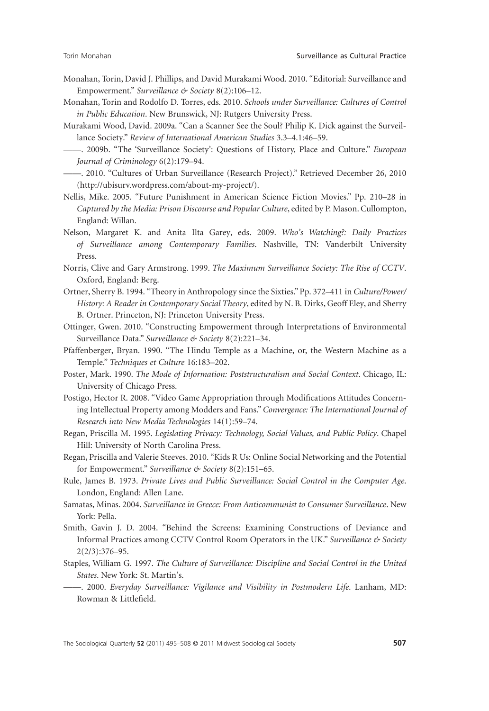- Monahan, Torin, David J. Phillips, and David Murakami Wood. 2010. "Editorial: Surveillance and Empowerment." *Surveillance & Society* 8(2):106–12.
- Monahan, Torin and Rodolfo D. Torres, eds. 2010. *Schools under Surveillance: Cultures of Control in Public Education*. New Brunswick, NJ: Rutgers University Press.
- Murakami Wood, David. 2009a. "Can a Scanner See the Soul? Philip K. Dick against the Surveillance Society." *Review of International American Studies* 3.3–4.1:46–59.
- ——. 2009b. "The 'Surveillance Society': Questions of History, Place and Culture." *European Journal of Criminology* 6(2):179–94.
- ——. 2010. "Cultures of Urban Surveillance (Research Project)." Retrieved December 26, 2010 (http://ubisurv.wordpress.com/about-my-project/).
- Nellis, Mike. 2005. "Future Punishment in American Science Fiction Movies." Pp. 210–28 in *Captured by the Media: Prison Discourse and Popular Culture*, edited by P. Mason. Cullompton, England: Willan.
- Nelson, Margaret K. and Anita Ilta Garey, eds. 2009. *Who's Watching?: Daily Practices of Surveillance among Contemporary Families*. Nashville, TN: Vanderbilt University Press.
- Norris, Clive and Gary Armstrong. 1999. *The Maximum Surveillance Society: The Rise of CCTV*. Oxford, England: Berg.
- Ortner, Sherry B. 1994. "Theory in Anthropology since the Sixties." Pp. 372–411 in *Culture/Power/ History: A Reader in Contemporary Social Theory*, edited by N. B. Dirks, Geoff Eley, and Sherry B. Ortner. Princeton, NJ: Princeton University Press.
- Ottinger, Gwen. 2010. "Constructing Empowerment through Interpretations of Environmental Surveillance Data." *Surveillance & Society* 8(2):221–34.
- Pfaffenberger, Bryan. 1990. "The Hindu Temple as a Machine, or, the Western Machine as a Temple." *Techniques et Culture* 16:183–202.
- Poster, Mark. 1990. *The Mode of Information: Poststructuralism and Social Context*. Chicago, IL: University of Chicago Press.
- Postigo, Hector R. 2008. "Video Game Appropriation through Modifications Attitudes Concerning Intellectual Property among Modders and Fans." *Convergence: The International Journal of Research into New Media Technologies* 14(1):59–74.
- Regan, Priscilla M. 1995. *Legislating Privacy: Technology, Social Values, and Public Policy*. Chapel Hill: University of North Carolina Press.
- Regan, Priscilla and Valerie Steeves. 2010. "Kids R Us: Online Social Networking and the Potential for Empowerment." *Surveillance & Society* 8(2):151–65.
- Rule, James B. 1973. *Private Lives and Public Surveillance: Social Control in the Computer Age*. London, England: Allen Lane.
- Samatas, Minas. 2004. *Surveillance in Greece: From Anticommunist to Consumer Surveillance*. New York: Pella.
- Smith, Gavin J. D. 2004. "Behind the Screens: Examining Constructions of Deviance and Informal Practices among CCTV Control Room Operators in the UK." *Surveillance & Society* 2(2/3):376–95.
- Staples, William G. 1997. *The Culture of Surveillance: Discipline and Social Control in the United States*. New York: St. Martin's.
	- ——. 2000. *Everyday Surveillance: Vigilance and Visibility in Postmodern Life*. Lanham, MD: Rowman & Littlefield.